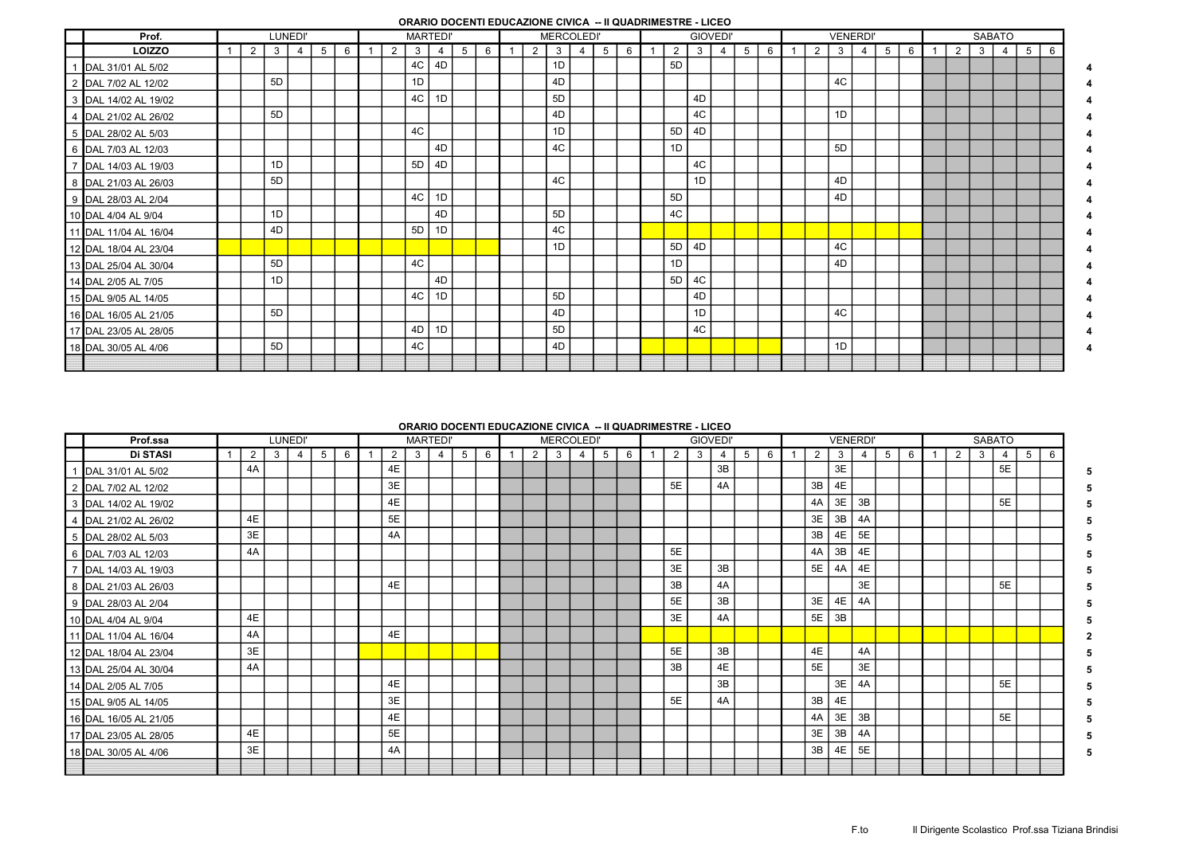## ORARIO DOCENTI EDUCAZIONE CIVICA -- II QUADRIMESTRE - LICEO

| Prof.                 |                |                | LUNEDI' |   |   |   |    | <b>MARTEDI</b> |   |   |                | <b>MERCOLEDI'</b> |                |   |   |                |    | <b>GIOVEDI</b> |   |   |                | <b>VENERDI</b> |   |   |   |   |   | <b>SABATO</b>  |   |   |
|-----------------------|----------------|----------------|---------|---|---|---|----|----------------|---|---|----------------|-------------------|----------------|---|---|----------------|----|----------------|---|---|----------------|----------------|---|---|---|---|---|----------------|---|---|
| <b>LOIZZO</b>         | $\overline{2}$ | 3              | 4       | 5 | 6 | 2 | 3  | $\overline{4}$ | 5 | 6 | $\overline{2}$ | 3                 | $\overline{4}$ | 5 | 6 | $\overline{2}$ | 3  | $\overline{4}$ | 5 | 6 | $\overline{2}$ | 3              | 4 | 5 | 6 | 2 | 3 | $\overline{4}$ | 5 | 6 |
| 1 DAL 31/01 AL 5/02   |                |                |         |   |   |   | 4C | 4D             |   |   |                | 1D                |                |   |   | 5D             |    |                |   |   |                |                |   |   |   |   |   |                |   |   |
| 2 DAL 7/02 AL 12/02   |                | 5 <sub>D</sub> |         |   |   |   | 1D |                |   |   |                | 4D                |                |   |   |                |    |                |   |   |                | 4C             |   |   |   |   |   |                |   |   |
| 3 DAL 14/02 AL 19/02  |                |                |         |   |   |   | 4C | 1D             |   |   |                | 5 <sub>D</sub>    |                |   |   |                | 4D |                |   |   |                |                |   |   |   |   |   |                |   |   |
| 4 DAL 21/02 AL 26/02  |                | 5D             |         |   |   |   |    |                |   |   |                | 4D                |                |   |   |                | 4C |                |   |   |                | 1D             |   |   |   |   |   |                |   |   |
| 5 DAL 28/02 AL 5/03   |                |                |         |   |   |   | 4C |                |   |   |                | 1D                |                |   |   | 5D             | 4D |                |   |   |                |                |   |   |   |   |   |                |   |   |
| 6 DAL 7/03 AL 12/03   |                |                |         |   |   |   |    | 4D             |   |   |                | 4C                |                |   |   | 1D             |    |                |   |   |                | 5D             |   |   |   |   |   |                |   |   |
| 7 DAL 14/03 AL 19/03  |                | 1D             |         |   |   |   | 5D | 4D             |   |   |                |                   |                |   |   |                | 4C |                |   |   |                |                |   |   |   |   |   |                |   |   |
| 8 DAL 21/03 AL 26/03  |                | 5D             |         |   |   |   |    |                |   |   |                | 4C                |                |   |   |                | 1D |                |   |   |                | 4D             |   |   |   |   |   |                |   |   |
| 9 DAL 28/03 AL 2/04   |                |                |         |   |   |   | 4C | 1D             |   |   |                |                   |                |   |   | 5D             |    |                |   |   |                | 4D             |   |   |   |   |   |                |   |   |
| 10 DAL 4/04 AL 9/04   |                | 1D             |         |   |   |   |    | 4D             |   |   |                | 5 <sub>D</sub>    |                |   |   | 4C             |    |                |   |   |                |                |   |   |   |   |   |                |   |   |
| 11 DAL 11/04 AL 16/04 |                | 4D             |         |   |   |   | 5D | 1D             |   |   |                | 4C                |                |   |   |                |    |                |   |   |                |                |   |   |   |   |   |                |   |   |
| 12 DAL 18/04 AL 23/04 |                |                |         |   |   |   |    |                |   |   |                | 1D                |                |   |   | 5D             | 4D |                |   |   |                | 4C             |   |   |   |   |   |                |   |   |
| 13 DAL 25/04 AL 30/04 |                | 5D             |         |   |   |   | 4C |                |   |   |                |                   |                |   |   | 1D             |    |                |   |   |                | 4D             |   |   |   |   |   |                |   |   |
| 14 DAL 2/05 AL 7/05   |                | 1D             |         |   |   |   |    | 4D             |   |   |                |                   |                |   |   | 5D             | 4C |                |   |   |                |                |   |   |   |   |   |                |   |   |
| 15 DAL 9/05 AL 14/05  |                |                |         |   |   |   | 4C | 1D             |   |   |                | 5 <sub>D</sub>    |                |   |   |                | 4D |                |   |   |                |                |   |   |   |   |   |                |   |   |
| 16 DAL 16/05 AL 21/05 |                | 5D             |         |   |   |   |    |                |   |   |                | 4D                |                |   |   |                | 1D |                |   |   |                | 4C             |   |   |   |   |   |                |   |   |
| 17 DAL 23/05 AL 28/05 |                |                |         |   |   |   | 4D | 1D             |   |   |                | 5 <sub>D</sub>    |                |   |   |                | 4C |                |   |   |                |                |   |   |   |   |   |                |   |   |
| 18 DAL 30/05 AL 4/06  |                | 5D             |         |   |   |   | 4C |                |   |   |                | 4D                |                |   |   |                |    |                |   |   |                | 1D             |   |   |   |   |   |                |   |   |
|                       |                |                |         |   |   |   |    |                |   |   |                |                   |                |   |   |                |    |                |   |   |                |                |   |   |   |   |   |                |   |   |

## ORARIO DOCENTI EDUCAZIONE CIVICA -- II QUADRIMESTRE - LICEO

| Prof.ssa              |    |   | LUNEDI'        |   |   |                | <b>MARTEDI'</b> |                |   |   |   | <b>MERCOLEDI'</b> |                |   |   |                | <b>GIOVEDI'</b> |                |   |   |                | <b>VENERDI'</b> |    |   |   |   |   | <b>SABATO</b>  |   |  |
|-----------------------|----|---|----------------|---|---|----------------|-----------------|----------------|---|---|---|-------------------|----------------|---|---|----------------|-----------------|----------------|---|---|----------------|-----------------|----|---|---|---|---|----------------|---|--|
| <b>Di STASI</b>       | 2  | 3 | $\overline{4}$ | 5 | 6 | $\overline{2}$ | 3               | $\overline{4}$ | 5 | 6 | 2 | 3                 | $\overline{4}$ | 5 | 6 | $\overline{2}$ | 3               | $\overline{4}$ | 5 | 6 | $\overline{2}$ | $\mathbf{3}$    |    | 5 | 6 | 2 | 3 | $\overline{4}$ | 5 |  |
| DAL 31/01 AL 5/02     | 4A |   |                |   |   | 4E             |                 |                |   |   |   |                   |                |   |   |                |                 | 3B             |   |   |                | 3E              |    |   |   |   |   | 5E             |   |  |
| 2 DAL 7/02 AL 12/02   |    |   |                |   |   | 3E             |                 |                |   |   |   |                   |                |   |   | 5E             |                 | 4A             |   |   | 3B             | 4E              |    |   |   |   |   |                |   |  |
| 3 DAL 14/02 AL 19/02  |    |   |                |   |   | 4E             |                 |                |   |   |   |                   |                |   |   |                |                 |                |   |   | 4A             | 3E              | 3B |   |   |   |   | 5E             |   |  |
| 4 DAL 21/02 AL 26/02  | 4E |   |                |   |   | 5E             |                 |                |   |   |   |                   |                |   |   |                |                 |                |   |   | 3E             | 3B              | 4A |   |   |   |   |                |   |  |
| 5 DAL 28/02 AL 5/03   | 3E |   |                |   |   | 4A             |                 |                |   |   |   |                   |                |   |   |                |                 |                |   |   | 3B             | 4E              | 5E |   |   |   |   |                |   |  |
| 6 DAL 7/03 AL 12/03   | 4A |   |                |   |   |                |                 |                |   |   |   |                   |                |   |   | 5E             |                 |                |   |   | 4A             | 3B              | 4E |   |   |   |   |                |   |  |
| 7 DAL 14/03 AL 19/03  |    |   |                |   |   |                |                 |                |   |   |   |                   |                |   |   | 3E             |                 | 3B             |   |   | 5E             | 4A              | 4E |   |   |   |   |                |   |  |
| 8 DAL 21/03 AL 26/03  |    |   |                |   |   | 4E             |                 |                |   |   |   |                   |                |   |   | 3B             |                 | 4A             |   |   |                |                 | 3E |   |   |   |   | 5E             |   |  |
| 9 DAL 28/03 AL 2/04   |    |   |                |   |   |                |                 |                |   |   |   |                   |                |   |   | 5E             |                 | 3B             |   |   | 3E             | 4E              | 4A |   |   |   |   |                |   |  |
| 10 DAL 4/04 AL 9/04   | 4E |   |                |   |   |                |                 |                |   |   |   |                   |                |   |   | 3E             |                 | 4A             |   |   | 5E             | 3B              |    |   |   |   |   |                |   |  |
| 11 DAL 11/04 AL 16/04 | 4A |   |                |   |   | 4E             |                 |                |   |   |   |                   |                |   |   |                |                 |                |   |   |                |                 |    |   |   |   |   |                |   |  |
| 12 DAL 18/04 AL 23/04 | 3E |   |                |   |   |                |                 |                |   |   |   |                   |                |   |   | 5E             |                 | 3B             |   |   | 4E             |                 | 4A |   |   |   |   |                |   |  |
| 13 DAL 25/04 AL 30/04 | 4A |   |                |   |   |                |                 |                |   |   |   |                   |                |   |   | 3B             |                 | 4E             |   |   | 5E             |                 | 3E |   |   |   |   |                |   |  |
| 14 DAL 2/05 AL 7/05   |    |   |                |   |   | 4E             |                 |                |   |   |   |                   |                |   |   |                |                 | 3B             |   |   |                | 3E              | 4A |   |   |   |   | 5E             |   |  |
| 15 DAL 9/05 AL 14/05  |    |   |                |   |   | 3E             |                 |                |   |   |   |                   |                |   |   | 5E             |                 | 4A             |   |   | 3B             | 4E              |    |   |   |   |   |                |   |  |
| 16 DAL 16/05 AL 21/05 |    |   |                |   |   | 4E             |                 |                |   |   |   |                   |                |   |   |                |                 |                |   |   | 4A             | 3E              | 3B |   |   |   |   | 5E             |   |  |
| 17 DAL 23/05 AL 28/05 | 4E |   |                |   |   | 5E             |                 |                |   |   |   |                   |                |   |   |                |                 |                |   |   | 3E             | 3B              | 4A |   |   |   |   |                |   |  |
| 18 DAL 30/05 AL 4/06  | 3E |   |                |   |   | 4A             |                 |                |   |   |   |                   |                |   |   |                |                 |                |   |   | 3B             | 4E              | 5E |   |   |   |   |                |   |  |
|                       |    |   |                |   |   |                |                 |                |   |   |   |                   |                |   |   |                |                 |                |   |   |                |                 |    |   |   |   |   |                |   |  |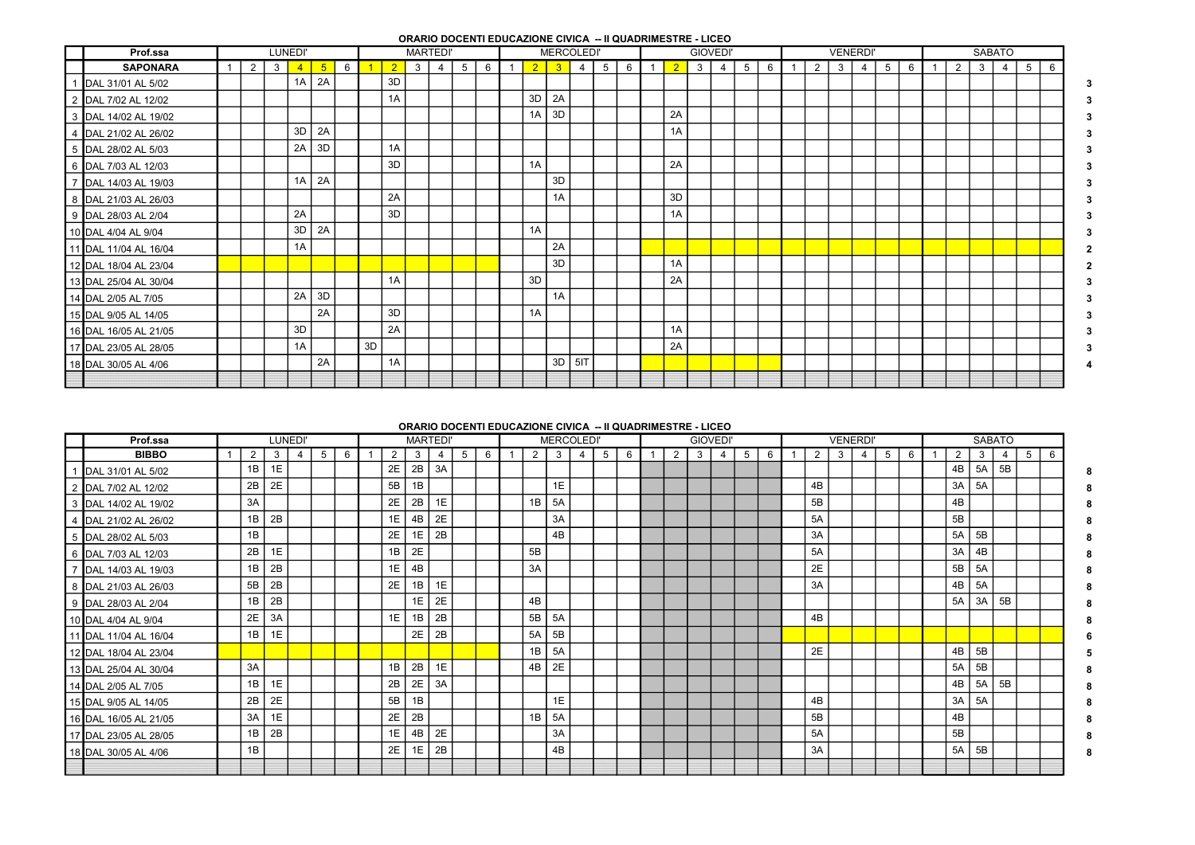ORARIO DOCENTI EDUCAZIONE CIVICA -- II QUADRIMESTRE - LICEO

| Prof.ssa              |                |                | LUNEDI'        |                 |   |    |            |              | <b>MARTEDI'</b> |                 |   |                |            | <b>MERCOLEDI'</b> |   |   |                |              | <b>GIOVEDI'</b> |   |   |   | <b>VENERDI'</b> |                |   |   |                |   |                | <b>SABATO</b>  |                |    |
|-----------------------|----------------|----------------|----------------|-----------------|---|----|------------|--------------|-----------------|-----------------|---|----------------|------------|-------------------|---|---|----------------|--------------|-----------------|---|---|---|-----------------|----------------|---|---|----------------|---|----------------|----------------|----------------|----|
| <b>SAPONARA</b>       | $\overline{2}$ | 3 <sup>1</sup> | $\overline{4}$ | $5\overline{)}$ | 6 |    | $\sqrt{2}$ | $\mathbf{3}$ | 4               | $5\overline{)}$ | 6 | 2 <sup>2</sup> | $\sqrt{3}$ | $\overline{4}$    | 5 | 6 | $\overline{2}$ | $\mathbf{3}$ | $\overline{4}$  | 5 | 6 | 2 | $\mathbf{3}$    | $\overline{4}$ | 5 | 6 | $\overline{1}$ | 2 | 3 <sup>1</sup> | $\overline{4}$ | 5 <sup>5</sup> | -6 |
| DAL 31/01 AL 5/02     |                |                | 1A             | 2A              |   |    | 3D         |              |                 |                 |   |                |            |                   |   |   |                |              |                 |   |   |   |                 |                |   |   |                |   |                |                |                |    |
| 2 DAL 7/02 AL 12/02   |                |                |                |                 |   |    | 1A         |              |                 |                 |   | 3D             | 2A         |                   |   |   |                |              |                 |   |   |   |                 |                |   |   |                |   |                |                |                |    |
| 3 DAL 14/02 AL 19/02  |                |                |                |                 |   |    |            |              |                 |                 |   | 1A             | 3D         |                   |   |   | 2A             |              |                 |   |   |   |                 |                |   |   |                |   |                |                |                |    |
| 4 DAL 21/02 AL 26/02  |                |                | 3D             | 2A              |   |    |            |              |                 |                 |   |                |            |                   |   |   | 1A             |              |                 |   |   |   |                 |                |   |   |                |   |                |                |                |    |
| 5 DAL 28/02 AL 5/03   |                |                | 2A             | 3D              |   |    | 1A         |              |                 |                 |   |                |            |                   |   |   |                |              |                 |   |   |   |                 |                |   |   |                |   |                |                |                |    |
| 6 DAL 7/03 AL 12/03   |                |                |                |                 |   |    | 3D         |              |                 |                 |   | 1A             |            |                   |   |   | 2A             |              |                 |   |   |   |                 |                |   |   |                |   |                |                |                |    |
| 7 DAL 14/03 AL 19/03  |                |                | 1A             | 2A              |   |    |            |              |                 |                 |   |                | 3D         |                   |   |   |                |              |                 |   |   |   |                 |                |   |   |                |   |                |                |                |    |
| 8 DAL 21/03 AL 26/03  |                |                |                |                 |   |    | 2A         |              |                 |                 |   |                | 1A         |                   |   |   | 3D             |              |                 |   |   |   |                 |                |   |   |                |   |                |                |                |    |
| 9 DAL 28/03 AL 2/04   |                |                | 2A             |                 |   |    | 3D         |              |                 |                 |   |                |            |                   |   |   | 1A             |              |                 |   |   |   |                 |                |   |   |                |   |                |                |                |    |
| 10 DAL 4/04 AL 9/04   |                |                | 3D             | 2A              |   |    |            |              |                 |                 |   | 1A             |            |                   |   |   |                |              |                 |   |   |   |                 |                |   |   |                |   |                |                |                |    |
| 11 DAL 11/04 AL 16/04 |                |                | 1A             |                 |   |    |            |              |                 |                 |   |                | 2A         |                   |   |   |                |              |                 |   |   |   |                 |                |   |   |                |   |                |                |                |    |
| 12 DAL 18/04 AL 23/04 |                |                |                |                 |   |    |            |              |                 |                 |   |                | 3D         |                   |   |   | 1A             |              |                 |   |   |   |                 |                |   |   |                |   |                |                |                |    |
| 13 DAL 25/04 AL 30/04 |                |                |                |                 |   |    | 1A         |              |                 |                 |   | 3D             |            |                   |   |   | 2A             |              |                 |   |   |   |                 |                |   |   |                |   |                |                |                |    |
| 14 DAL 2/05 AL 7/05   |                |                | 2A             | 3D              |   |    |            |              |                 |                 |   |                | 1A         |                   |   |   |                |              |                 |   |   |   |                 |                |   |   |                |   |                |                |                |    |
| 15 DAL 9/05 AL 14/05  |                |                |                | 2A              |   |    | 3D         |              |                 |                 |   | 1A             |            |                   |   |   |                |              |                 |   |   |   |                 |                |   |   |                |   |                |                |                |    |
| 16 DAL 16/05 AL 21/05 |                |                | 3D             |                 |   |    | 2A         |              |                 |                 |   |                |            |                   |   |   | 1A             |              |                 |   |   |   |                 |                |   |   |                |   |                |                |                |    |
| 17 DAL 23/05 AL 28/05 |                |                | 1A             |                 |   | 3D |            |              |                 |                 |   |                |            |                   |   |   | 2A             |              |                 |   |   |   |                 |                |   |   |                |   |                |                |                |    |
| 18 DAL 30/05 AL 4/06  |                |                |                | 2A              |   |    | 1A         |              |                 |                 |   |                | 3D         | 5IT               |   |   |                |              |                 |   |   |   |                 |                |   |   |                |   |                |                |                |    |
|                       |                |                |                |                 |   |    |            |              |                 |                 |   |                |            |                   |   |   |                |              |                 |   |   |   |                 |                |   |   |                |   |                |                |                |    |

## ORARIO DOCENTI EDUCAZIONE CIVICA -- II QUADRIMESTRE - LICEO

| Prof.ssa              |    |    | LUNEDI'        |   |   |    | <b>MARTEDI'</b> |    |   |   |    | <b>MERCOLEDI'</b> |   |   |   |   |   | <b>GIOVEDI</b> |   |   |    | <b>VENERDI</b> |   |   |   |   |    |    | <b>SABATO</b>  |   |   |
|-----------------------|----|----|----------------|---|---|----|-----------------|----|---|---|----|-------------------|---|---|---|---|---|----------------|---|---|----|----------------|---|---|---|---|----|----|----------------|---|---|
| <b>BIBBO</b>          | 2  | 3  | $\overline{4}$ | 5 | 6 | 2  | 3               | 4  | 5 | 6 | 2  | 3 <sup>3</sup>    | 4 | 5 | 6 | 2 | 3 | $\overline{4}$ | 5 | 6 | 2  | 3              | 4 | 5 | 6 | 1 | 2  | 3  | $\overline{4}$ | 5 | 6 |
| 1 DAL 31/01 AL 5/02   | 1B | 1E |                |   |   | 2E | 2B              | 3A |   |   |    |                   |   |   |   |   |   |                |   |   |    |                |   |   |   |   | 4B | 5A | 5B             |   |   |
| 2 DAL 7/02 AL 12/02   | 2B | 2E |                |   |   | 5B | 1B              |    |   |   |    | 1E                |   |   |   |   |   |                |   |   | 4B |                |   |   |   |   | 3A | 5A |                |   |   |
| 3 DAL 14/02 AL 19/02  | 3A |    |                |   |   | 2E | 2B              | 1E |   |   | 1B | 5A                |   |   |   |   |   |                |   |   | 5B |                |   |   |   |   | 4B |    |                |   |   |
| 4 DAL 21/02 AL 26/02  | 1B | 2B |                |   |   | 1E | 4B              | 2E |   |   |    | 3A                |   |   |   |   |   |                |   |   | 5A |                |   |   |   |   | 5B |    |                |   |   |
| 5 DAL 28/02 AL 5/03   | 1B |    |                |   |   | 2E | 1E              | 2B |   |   |    | 4 <sub>B</sub>    |   |   |   |   |   |                |   |   | 3A |                |   |   |   |   | 5A | 5B |                |   |   |
| 6 DAL 7/03 AL 12/03   | 2B | 1E |                |   |   | 1B | 2E              |    |   |   | 5B |                   |   |   |   |   |   |                |   |   | 5A |                |   |   |   |   | 3A | 4B |                |   |   |
| 7 DAL 14/03 AL 19/03  | 1B | 2B |                |   |   | 1E | 4B              |    |   |   | 3A |                   |   |   |   |   |   |                |   |   | 2E |                |   |   |   |   | 5B | 5A |                |   |   |
| 8 DAL 21/03 AL 26/03  | 5B | 2B |                |   |   | 2E | 1B              | 1E |   |   |    |                   |   |   |   |   |   |                |   |   | 3A |                |   |   |   |   | 4B | 5A |                |   |   |
| 9 DAL 28/03 AL 2/04   | 1B | 2B |                |   |   |    | 1E              | 2E |   |   | 4B |                   |   |   |   |   |   |                |   |   |    |                |   |   |   |   | 5A | 3A | 5B             |   |   |
| 10 DAL 4/04 AL 9/04   | 2E | 3A |                |   |   | 1E | 1B              | 2B |   |   | 5B | 5A                |   |   |   |   |   |                |   |   | 4B |                |   |   |   |   |    |    |                |   |   |
| 11 DAL 11/04 AL 16/04 | 1B | 1E |                |   |   |    | 2E              | 2B |   |   | 5A | 5B                |   |   |   |   |   |                |   |   |    |                |   |   |   |   |    |    |                |   |   |
| 12 DAL 18/04 AL 23/04 |    |    |                |   |   |    |                 |    |   |   | 1B | 5A                |   |   |   |   |   |                |   |   | 2E |                |   |   |   |   | 4B | 5B |                |   |   |
| 13 DAL 25/04 AL 30/04 | 3A |    |                |   |   | 1B | 2B              | 1E |   |   | 4B | 2E                |   |   |   |   |   |                |   |   |    |                |   |   |   |   | 5A | 5B |                |   |   |
| 14 DAL 2/05 AL 7/05   | 1B | 1E |                |   |   | 2B | 2E              | 3A |   |   |    |                   |   |   |   |   |   |                |   |   |    |                |   |   |   |   | 4B | 5A | 5B             |   |   |
| 15 DAL 9/05 AL 14/05  | 2B | 2E |                |   |   | 5B | 1B              |    |   |   |    | 1E                |   |   |   |   |   |                |   |   | 4B |                |   |   |   |   | 3A | 5A |                |   |   |
| 16 DAL 16/05 AL 21/05 | 3A | 1E |                |   |   | 2E | 2B              |    |   |   | 1B | 5A                |   |   |   |   |   |                |   |   | 5B |                |   |   |   |   | 4B |    |                |   |   |
| 17 DAL 23/05 AL 28/05 | 1B | 2B |                |   |   | 1E | 4B              | 2E |   |   |    | 3A                |   |   |   |   |   |                |   |   | 5A |                |   |   |   |   | 5B |    |                |   |   |
| 18 DAL 30/05 AL 4/06  | 1B |    |                |   |   | 2E | 1E              | 2B |   |   |    | 4B                |   |   |   |   |   |                |   |   | 3A |                |   |   |   |   | 5A | 5B |                |   |   |
|                       |    |    |                |   |   |    |                 |    |   |   |    |                   |   |   |   |   |   |                |   |   |    |                |   |   |   |   |    |    |                |   |   |